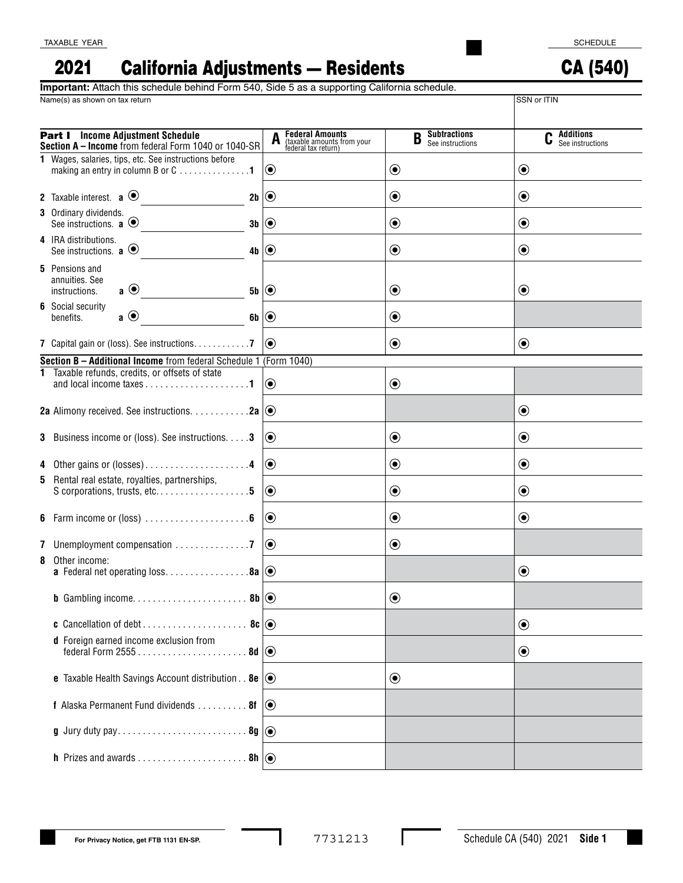CA (540)

## California Adjustments — Residents 2021

Name(s) as shown on tax return SSN or ITIN **Important:** Attach this schedule behind Form 540, Side 5 as a supporting California schedule.

| <b>Part I</b> Income Adjustment Schedule<br>Section A - Income from federal Form 1040 or 1040-SR | <b>Federal Amounts</b><br>(taxable amounts from your<br>federal tax return) | <b>Subtractions</b><br>B<br>See instructions | Additions<br>See instructions |
|--------------------------------------------------------------------------------------------------|-----------------------------------------------------------------------------|----------------------------------------------|-------------------------------|
| 1 Wages, salaries, tips, etc. See instructions before<br>making an entry in column B or C 1      | $ \mathbf{O} $                                                              | $\textcolor{blue}{\bullet}$                  | $\odot$                       |
| 2 Taxable interest. $\mathbf{a} \odot$<br>2b $\odot$                                             |                                                                             | $\boldsymbol{\odot}$                         | $\odot$                       |
| 3 Ordinary dividends.<br>See instructions. $\mathbf{a} \odot$<br>$3b$ $\odot$                    |                                                                             | $\textcolor{blue}{\bullet}$                  | $\odot$                       |
| 4 IRA distributions.<br>See instructions. $\mathbf{a} \odot$<br>4b $  \odot$                     |                                                                             | $\textcolor{blue}{\bullet}$                  | $\odot$                       |
| <b>5</b> Pensions and<br>annuities. See<br>$\mathbf{a} \odot$<br>instructions.<br>$5b \mid Q$    |                                                                             | $\boldsymbol{\odot}$                         | $\odot$                       |
| <b>6</b> Social security<br>$\mathbf{a} \odot$<br>6b $\odot$<br>benefits.                        |                                                                             | $\textcolor{blue}{\bullet}$                  |                               |
| 7 Capital gain or (loss). See instructions. 7                                                    | $ (\bullet) $                                                               | $\textcolor{blue}{\bullet}$                  | $\odot$                       |
| Section B - Additional Income from federal Schedule 1 (Form 1040)                                |                                                                             |                                              |                               |
| 1 Taxable refunds, credits, or offsets of state                                                  | $ \mathbf{O} $                                                              | $\textcolor{blue}{\bullet}$                  |                               |
| 2a Alimony received. See instructions. $\dots \dots \dots 2a$ $\odot$                            |                                                                             |                                              | $\odot$                       |
| <b>3</b> Business income or (loss). See instructions. <b>3</b>                                   | $ 0\rangle$                                                                 | $\textcolor{blue}{\bullet}$                  | $\odot$                       |
| 4 Other gains or (losses)4                                                                       | $  \odot$                                                                   | $\boldsymbol{\odot}$                         | $\odot$                       |
| 5 Rental real estate, royalties, partnerships,<br>S corporations, trusts, etc5                   | $  \odot$                                                                   | $\boldsymbol{\odot}$                         | $\odot$                       |
|                                                                                                  | $  \textcolor{teal}{\bullet}$                                               | $\boldsymbol{\odot}$                         | $\odot$                       |
|                                                                                                  | $  \odot$                                                                   | $\boldsymbol{\odot}$                         |                               |
| 8 Other income:<br><b>a</b> Federal net operating loss8a $\circledcirc$                          |                                                                             |                                              | $\odot$                       |
|                                                                                                  |                                                                             | $\boldsymbol{\odot}$                         |                               |
|                                                                                                  |                                                                             |                                              | $\odot$                       |
| d Foreign earned income exclusion from                                                           |                                                                             |                                              | $\odot$                       |
| <b>e</b> Taxable Health Savings Account distribution. . <b>8e</b> $\odot$                        |                                                                             | $\textcolor{blue}{\bullet}$                  |                               |
| <b>f</b> Alaska Permanent Fund dividends $\dots \dots \dots$ 8f $\odot$                          |                                                                             |                                              |                               |
|                                                                                                  |                                                                             |                                              |                               |
|                                                                                                  |                                                                             |                                              |                               |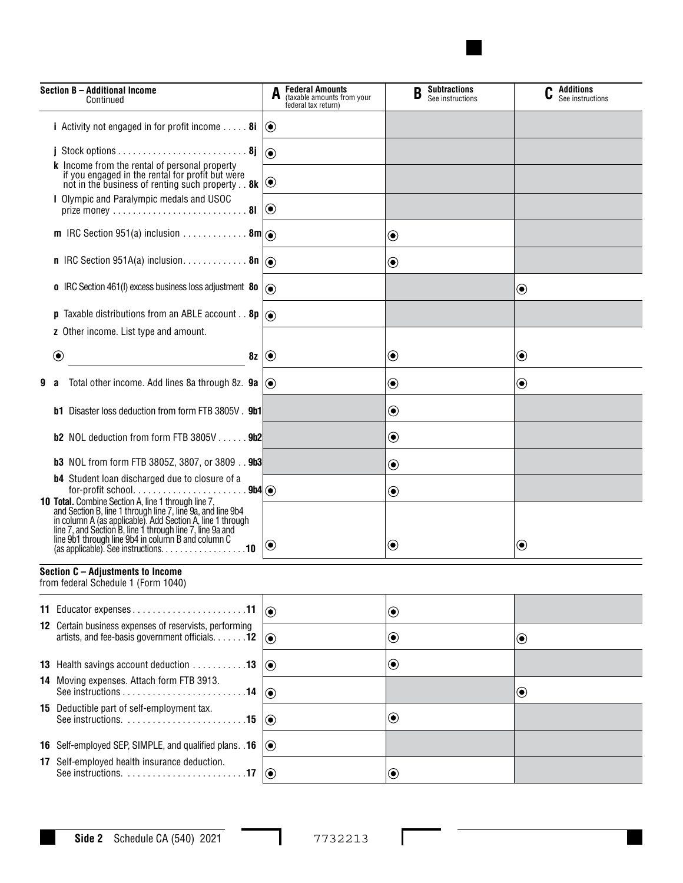

| Section B - Additional Income<br>Continued |                                                                                                                                                                                                                                                                                                                                                    | <b>Federal Amounts</b><br>(taxable amounts from your<br>federal tax return) | <b>Subtractions</b><br>B<br>See instructions | $\mathbf C$ Additions<br>See instructions |  |
|--------------------------------------------|----------------------------------------------------------------------------------------------------------------------------------------------------------------------------------------------------------------------------------------------------------------------------------------------------------------------------------------------------|-----------------------------------------------------------------------------|----------------------------------------------|-------------------------------------------|--|
|                                            | <i>i</i> Activity not engaged in for profit income $\dots$ 8i $\circledcirc$                                                                                                                                                                                                                                                                       |                                                                             |                                              |                                           |  |
|                                            |                                                                                                                                                                                                                                                                                                                                                    | $  \odot$                                                                   |                                              |                                           |  |
|                                            | k Income from the rental of personal property<br>if you engaged in the rental for profit but were<br>not in the business of renting such property. . 8k                                                                                                                                                                                            | $ \mathbf{O} $                                                              |                                              |                                           |  |
|                                            | I Olympic and Paralympic medals and USOC                                                                                                                                                                                                                                                                                                           |                                                                             |                                              |                                           |  |
|                                            | <b>m</b> IRC Section 951(a) inclusion <b>8m</b> $\odot$                                                                                                                                                                                                                                                                                            |                                                                             | $\textcolor{blue}{\bullet}$                  |                                           |  |
|                                            |                                                                                                                                                                                                                                                                                                                                                    |                                                                             | $\textcolor{blue}{\bullet}$                  |                                           |  |
|                                            | <b>o</b> IRC Section 461(I) excess business loss adjustment 80 $\overline{)}$                                                                                                                                                                                                                                                                      |                                                                             |                                              | $\textcolor{blue}{\bullet}$               |  |
|                                            | <b>p</b> Taxable distributions from an ABLE account <b>8p</b> $\left  \right\rangle$                                                                                                                                                                                                                                                               |                                                                             |                                              |                                           |  |
|                                            | z Other income. List type and amount.                                                                                                                                                                                                                                                                                                              |                                                                             |                                              |                                           |  |
|                                            | $\bf \odot$<br>8z(                                                                                                                                                                                                                                                                                                                                 |                                                                             | $\boldsymbol{\odot}$                         | $\textcolor{blue}{\bullet}$               |  |
| 9                                          | Total other income. Add lines 8a through 8z. <b>9a</b> $\circledcirc$<br>а                                                                                                                                                                                                                                                                         |                                                                             | $\boldsymbol{\odot}$                         | $\boldsymbol{\odot}$                      |  |
|                                            | <b>b1</b> Disaster loss deduction from form FTB 3805V . 9b1                                                                                                                                                                                                                                                                                        |                                                                             | $\boldsymbol{\odot}$                         |                                           |  |
|                                            | <b>b2</b> NOL deduction from form FTB $3805V$ $9b2$                                                                                                                                                                                                                                                                                                |                                                                             | $\textcolor{blue}{\bullet}$                  |                                           |  |
|                                            | <b>b3</b> NOL from form FTB 3805Z, 3807, or 3809 9b3                                                                                                                                                                                                                                                                                               |                                                                             | $\boldsymbol{\odot}$                         |                                           |  |
|                                            | <b>b4</b> Student loan discharged due to closure of a<br>for-profit school<br>9b4()                                                                                                                                                                                                                                                                |                                                                             | $\boldsymbol{\odot}$                         |                                           |  |
|                                            | <b>10 Total.</b> Combine Section A, line 1 through line 7, and Section B, line 1 through line 7, line 9a, and line 9b4<br>in column A (as applicable). Add Section A, line 1 through<br>line 7, and Section B, line 1 through line 7, line 9a and<br>line 9b1 through line 9b4 in column B and column C<br>$(as applicable). See instructions. 10$ | $ {\bf 0}\>$                                                                | $\boldsymbol{\odot}$                         | ◉                                         |  |
|                                            | Section C - Adjustments to Income<br>from federal Schedule 1 (Form 1040)                                                                                                                                                                                                                                                                           |                                                                             |                                              |                                           |  |
|                                            | 11 Educator expenses11                                                                                                                                                                                                                                                                                                                             | $ _{\odot}$                                                                 | $\boldsymbol{\odot}$                         |                                           |  |
|                                            | 12 Certain business expenses of reservists, performing<br>artists, and fee-basis government officials. 12                                                                                                                                                                                                                                          | $  \textcolor{teal}{\bullet}$                                               | $\bf \odot$                                  | $\textcolor{blue}{\bullet}$               |  |
|                                            | 13 Health savings account deduction 13                                                                                                                                                                                                                                                                                                             | $  \textcolor{teal}{\bullet}$                                               | $\bf \odot$                                  |                                           |  |
|                                            | 14 Moving expenses. Attach form FTB 3913.                                                                                                                                                                                                                                                                                                          | $ _{\textcircled{\small 0}}$                                                |                                              | $\textcolor{blue}{\bullet}$               |  |
|                                            | 15 Deductible part of self-employment tax.                                                                                                                                                                                                                                                                                                         | $ \mathbf{O} $                                                              | $\bf \odot$                                  |                                           |  |
|                                            | 16 Self-employed SEP, SIMPLE, and qualified plans. . 16                                                                                                                                                                                                                                                                                            | $  \textcolor{teal}{\bullet}$                                               |                                              |                                           |  |
|                                            | 17 Self-employed health insurance deduction.<br>See instructions. 17                                                                                                                                                                                                                                                                               | $  \odot$                                                                   | $\boldsymbol{\odot}$                         |                                           |  |

I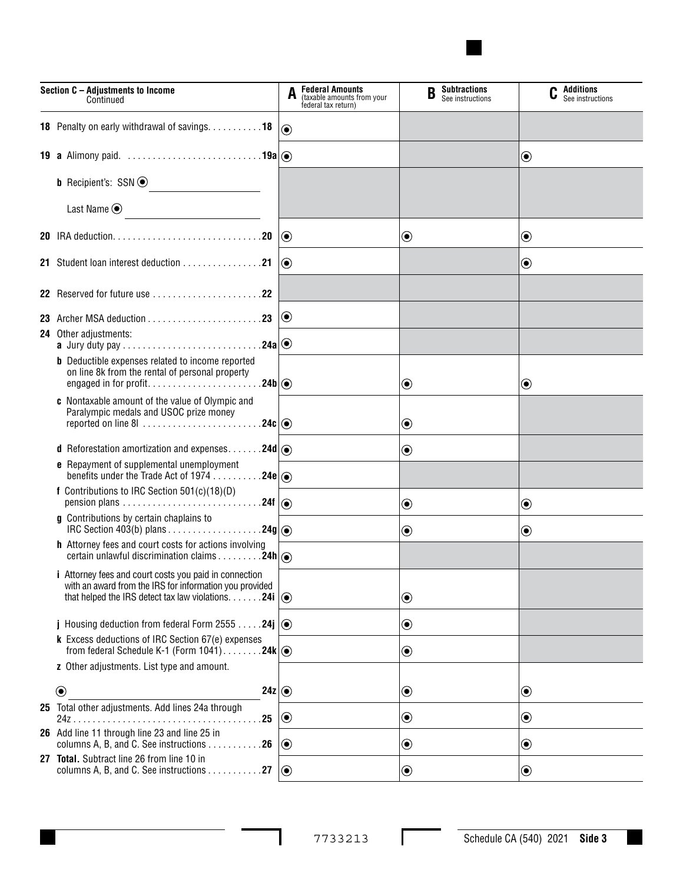

| Section C - Adjustments to Income<br>Continued |                                                                                                                                                                                                      | A                | <b>Federal Amounts</b><br>(taxable amounts from your<br>federal tax return) | <b>Subtractions</b><br>B<br>See instructions | Additions<br>See instructions |
|------------------------------------------------|------------------------------------------------------------------------------------------------------------------------------------------------------------------------------------------------------|------------------|-----------------------------------------------------------------------------|----------------------------------------------|-------------------------------|
|                                                | 18 Penalty on early withdrawal of savings. 18                                                                                                                                                        | $\odot$          |                                                                             |                                              |                               |
|                                                | <b>19 a</b> Alimony paid. $\ldots \ldots \ldots \ldots \ldots \ldots \ldots \ldots \ldots$ 19a $  \circledcirc \rangle$                                                                              |                  |                                                                             |                                              | $\textcolor{blue}{\bullet}$   |
|                                                | <b>b</b> Recipient's: $SSN$ $\odot$                                                                                                                                                                  |                  |                                                                             |                                              |                               |
|                                                | Last Name $\odot$<br>$\overline{\phantom{a}}$                                                                                                                                                        |                  |                                                                             |                                              |                               |
|                                                |                                                                                                                                                                                                      | $\odot$          |                                                                             | $\textcolor{blue}{\bullet}$                  | $\bf \odot$                   |
|                                                |                                                                                                                                                                                                      | $\circledbullet$ |                                                                             |                                              | $\textcolor{blue}{\bullet}$   |
|                                                |                                                                                                                                                                                                      |                  |                                                                             |                                              |                               |
|                                                | 23 Archer MSA deduction $\ldots \ldots \ldots \ldots \ldots \ldots$                                                                                                                                  | $\bf{O}$         |                                                                             |                                              |                               |
|                                                | <b>24</b> Other adjustments:                                                                                                                                                                         |                  |                                                                             |                                              |                               |
|                                                | <b>b</b> Deductible expenses related to income reported<br>on line 8k from the rental of personal property                                                                                           |                  |                                                                             | ◉                                            | $\textcolor{blue}{\bullet}$   |
|                                                | c Nontaxable amount of the value of Olympic and<br>Paralympic medals and USOC prize money                                                                                                            |                  |                                                                             | $\boldsymbol{\odot}$                         |                               |
|                                                | <b>d</b> Reforestation amortization and expenses24d $ $ $\odot$                                                                                                                                      |                  |                                                                             | $\textcolor{blue}{\bullet}$                  |                               |
|                                                | <b>e</b> Repayment of supplemental unemployment<br>benefits under the Trade Act of 1974 24e $ $ $\odot$                                                                                              |                  |                                                                             |                                              |                               |
|                                                | f Contributions to IRC Section 501(c)(18)(D)                                                                                                                                                         |                  |                                                                             | $\textcolor{blue}{\bullet}$                  | $\bf \odot$                   |
|                                                | g Contributions by certain chaplains to                                                                                                                                                              |                  |                                                                             | $\boldsymbol{\odot}$                         | $\boldsymbol{\odot}$          |
|                                                | h Attorney fees and court costs for actions involving<br>certain unlawful discrimination claims 24h (                                                                                                |                  |                                                                             |                                              |                               |
|                                                | <i>i</i> Attorney fees and court costs you paid in connection<br>with an award from the IRS for information you provided<br>that helped the IRS detect tax law violations. $\dots \dots 24i$ $\odot$ |                  |                                                                             | $\textcolor{blue}{\bullet}$                  |                               |
|                                                | j Housing deduction from federal Form 2555 24j $\ket{\odot}$                                                                                                                                         |                  |                                                                             | $\textcolor{blue}{\bullet}$                  |                               |
|                                                | k Excess deductions of IRC Section 67(e) expenses<br>from federal Schedule K-1 (Form $1041)$ 24k $  \odot$                                                                                           |                  |                                                                             | $\textcolor{blue}{\bullet}$                  |                               |
|                                                | z Other adjustments. List type and amount.                                                                                                                                                           |                  |                                                                             |                                              |                               |
|                                                | $\circledbullet$<br>24z $ $                                                                                                                                                                          |                  |                                                                             | $\textcolor{blue}{\bullet}$                  | $\bf \odot$                   |
|                                                | 25 Total other adjustments. Add lines 24a through<br>.25                                                                                                                                             | $\odot$          |                                                                             | $\boldsymbol{\odot}$                         | $\boldsymbol{\odot}$          |
|                                                | 26 Add line 11 through line 23 and line 25 in<br>columns A, B, and C. See instructions 26                                                                                                            | $\odot$          |                                                                             | $\textcolor{blue}{\bullet}$                  | $\boldsymbol{\odot}$          |
|                                                | 27 Total. Subtract line 26 from line 10 in<br>columns A, B, and C. See instructions 27                                                                                                               | $\odot$          |                                                                             | $\textcolor{blue}{\bullet}$                  | $\bf \odot$                   |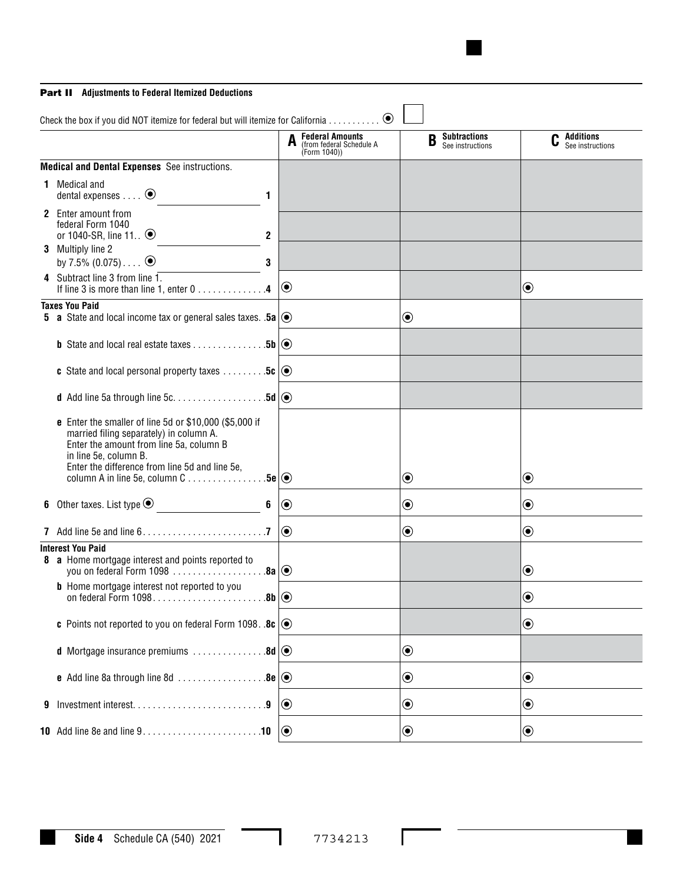## Part II **Adjustments to Federal Itemized Deductions**

|   | Check the box if you did NOT itemize for federal but will itemize for California                                                                                                                                                                                                                          |                |                                                                                           | $\odot$                                                            |                                 |                                              |                             |                                        |
|---|-----------------------------------------------------------------------------------------------------------------------------------------------------------------------------------------------------------------------------------------------------------------------------------------------------------|----------------|-------------------------------------------------------------------------------------------|--------------------------------------------------------------------|---------------------------------|----------------------------------------------|-----------------------------|----------------------------------------|
|   |                                                                                                                                                                                                                                                                                                           |                |                                                                                           | <b>Federal Amounts</b><br>(from federal Schedule A<br>(Form 1040)) |                                 | <b>Subtractions</b><br>B<br>See instructions |                             | <b>C</b> Additions<br>See instructions |
|   | <b>Medical and Dental Expenses</b> See instructions.                                                                                                                                                                                                                                                      |                |                                                                                           |                                                                    |                                 |                                              |                             |                                        |
|   | <b>1</b> Medical and<br>dental expenses $\ldots$ $\odot$                                                                                                                                                                                                                                                  | $\mathbf{1}$   |                                                                                           |                                                                    |                                 |                                              |                             |                                        |
|   | 2 Enter amount from<br>federal Form 1040<br>or 1040-SR, line 11 $\odot$                                                                                                                                                                                                                                   | $\mathbf{2}$   |                                                                                           |                                                                    |                                 |                                              |                             |                                        |
|   | 3 Multiply line 2<br>by 7.5% $(0.075)$ $\odot$                                                                                                                                                                                                                                                            | 3              |                                                                                           |                                                                    |                                 |                                              |                             |                                        |
|   | 4 Subtract line 3 from line 1.<br>If line 3 is more than line 1, enter 0 4                                                                                                                                                                                                                                |                | $\odot$                                                                                   |                                                                    |                                 |                                              | $\boldsymbol{\odot}$        |                                        |
|   | <b>Taxes You Paid</b><br><b>5</b> a State and local income tax or general sales taxes. .5a $\circledcirc$                                                                                                                                                                                                 |                |                                                                                           |                                                                    | $\bigcirc$                      |                                              |                             |                                        |
|   | <b>b</b> State and local real estate taxes 5b $\circ$                                                                                                                                                                                                                                                     |                |                                                                                           |                                                                    |                                 |                                              |                             |                                        |
|   | <b>c</b> State and local personal property taxes $\dots \dots \dots$ 5c $\odot$                                                                                                                                                                                                                           |                |                                                                                           |                                                                    |                                 |                                              |                             |                                        |
|   |                                                                                                                                                                                                                                                                                                           |                |                                                                                           |                                                                    |                                 |                                              |                             |                                        |
|   | <b>e</b> Enter the smaller of line 5d or \$10,000 (\$5,000 if<br>married filing separately) in column A.<br>Enter the amount from line 5a, column B<br>in line 5e, column B.<br>Enter the difference from line 5d and line 5e,<br>column A in line 5e, column $C \ldots \ldots \ldots \ldots .5e   \odot$ |                |                                                                                           |                                                                    | $\textcolor{blue}{\bullet}$     |                                              | $\boldsymbol{\odot}$        |                                        |
|   |                                                                                                                                                                                                                                                                                                           | $6\phantom{1}$ | $  \textcolor{teal}{\bullet}$                                                             |                                                                    | $\textcircled{\small{\bullet}}$ |                                              | $\bf \odot$                 |                                        |
|   | 7 Add line 5e and line $6. \ldots \ldots \ldots \ldots \ldots \ldots \ldots$                                                                                                                                                                                                                              |                | $\bigcirc$                                                                                |                                                                    | $\bigcirc$                      |                                              | $\boldsymbol{\copyright}$   |                                        |
|   | <b>Interest You Paid</b><br>8 a Home mortgage interest and points reported to<br>you on federal Form 1098 $\ldots$ 8a $  \odot$                                                                                                                                                                           |                |                                                                                           |                                                                    |                                 |                                              | $\boldsymbol{\odot}$        |                                        |
|   | <b>b</b> Home mortgage interest not reported to you                                                                                                                                                                                                                                                       |                |                                                                                           |                                                                    |                                 |                                              | $\boldsymbol{\odot}$        |                                        |
|   | c Points not reported to you on federal Form 1098. .8c $\circledcirc$                                                                                                                                                                                                                                     |                |                                                                                           |                                                                    |                                 |                                              | $\boldsymbol{\copyright}$   |                                        |
|   | <b>d</b> Mortgage insurance premiums $\dots\dots\dots\dots\dots$ 8d $\odot$                                                                                                                                                                                                                               |                |                                                                                           |                                                                    | $\bf \odot$                     |                                              |                             |                                        |
|   | <b>e</b> Add line 8a through line 8d $\ldots$ 8e $\circledcirc$                                                                                                                                                                                                                                           |                |                                                                                           |                                                                    | $\textcircled{\small\bullet}$   |                                              | $\textcolor{blue}{\bullet}$ |                                        |
| 9 |                                                                                                                                                                                                                                                                                                           |                | $\bigcirc$                                                                                |                                                                    | $\odot$                         |                                              | $\textcolor{blue}{\bullet}$ |                                        |
|   |                                                                                                                                                                                                                                                                                                           |                | $  \textcolor{teal}{\textcircled{\scriptsize{}}\hspace{-0.5em}}\textcolor{teal}{\bullet}$ |                                                                    | $\textcircled{\small\bullet}$   |                                              | $\textcolor{blue}{\bullet}$ |                                        |

I